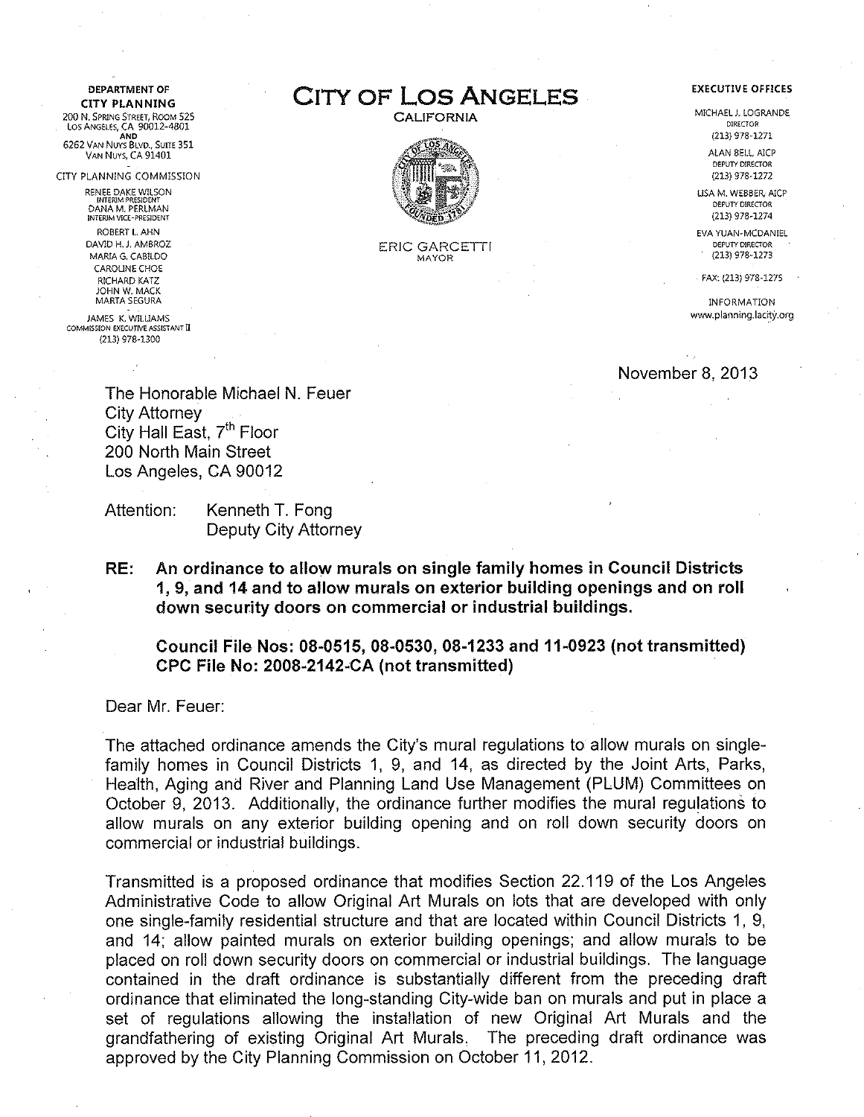**DEPARTMENT OF** 

200 N. SPRING STREET, ROOM 525 Los ANG€LES, CA 90012~4801 AND 6262 VAN NUYS BLVD., SuiTE 351 VAN NUYS, CA 91401

CITY PLANNING COMMISSION

RENEE DAKE WILSON !NTERlM PRESIDENT DANA M. PERLMAN INTERJM VECE -PRESIDENT

> ROBERT l. AHN DAVID H. J. AMBROZ MARIA G. CAB!LDO CAROUNE CHOE RICHARD KATZ JOHN W. MACK MARTA SEGURA

JAMES K. W!LUAMS COMMISSION EXECUTIVE ASSISTANT II (213) 978-1300

OEPARTMENT OF **CITY OF LOS ANGELES** 

CALIFORNIA



ERIC GARCETTI MAYOR

## **EXECUTIVE OFFJCES**

MICHAEL J. LOGRANDE DIRECTOR (213) 978-1271

> ALAN BELL, AJCP DEPUTY DIRECTOR (213) 978-1272

USA M. WEBBER, AICP DEPUTY DIRECTOR (213) 978-1274

EVA YUAN-MCDANIEL DEPUTY DIRECTOR (213) 978-1273

FAX: (213) 978-1275

INFORMATION www.planning.lacity.org

November 8, 2013

The Honorable Michael N. Feuer City Attorney City Hall East, 7<sup>th</sup> Floor 200 North Main Street Los Angeles, CA 90012

Attention: Kenneth T. Fong Deputy City Attorney

RE: An ordinance to allow murals on single family homes in Council Districts 1, 9, and 14 and to allow murals on exterior building openings and on roll down security doors on commercial or industrial buildings.

Council File Nos: 08-0515, 08-0530, 08-1233 and 11-0923 (not transmitted) CPC File No: 2008-2142~CA (not transmitted)

Dear Mr. Feuer:

The attached ordinance amends the City's mural regulations to allow murals on singlefamily homes in Council Districts 1, 9, and 14, as directed by the Joint Arts, Parks, Health, Aging and River and Planning Land Use Management (PLUM) Committees on October 9, 2013. Additionally, the ordinance further modifies the mural regulations to allow murals on any exterior building opening and on roll down security doors on commercial or industrial buildings.

Transmitted is a proposed ordinance that modifies Section 22.119 of the Los Angeles Administrative Code to allow Original Art Murals on lots that are developed with only one single-family residential structure and that are located within Council Districts 1, 9, and 14; allow painted murals on exterior building openings; and allow murals to be placed on roll down security doors on commercial or industrial buildings. The language contained in the draft ordinance is substantially different from the preceding draft ordinance that eliminated the long-standing City-wide ban on murals and put in place a set of regulations allowing the installation of new Original Art Murals and the grandfathering of existing Original Art Murals, The preceding draft ordinance was approved by the City Planning Commission on October 11, 2012.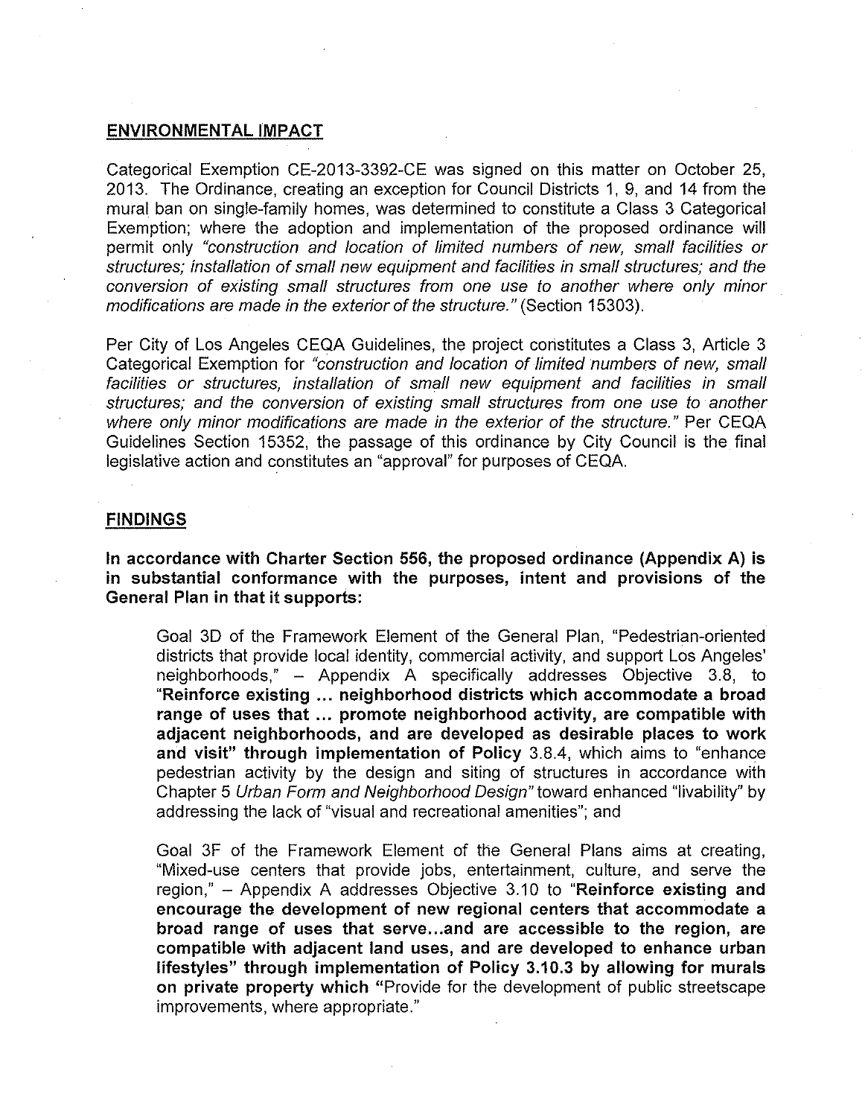## **ENVIRONMENTAL IMPACT**

Categorical Exemption CE-2013-3392-CE was signed on this matter on October 25, 2013. The Ordinance, creating an exception for Council Districts 1, 9, and 14 from the mural ban on single-family homes, was determined to constitute a Class 3 Categorical Exemption; where the adoption and implementation of the proposed ordinance will permit only "construction and location of limited numbers of new, small facilities or structures; installation of small new equipment and facilities in small structures; and the conversion of existing small structures from one use to another where only minor modifications are made in the exterior of the structure." (Section 15303).

Per City of Los Angeles CEQA Guidelines, the project constitutes a Class 3, Article 3 Categorical Exemption for "construction and location of limited numbers of new, small facilities or structures, installation of small new equipment and facilities in small structures; and the conversion of existing small structures from one use to another where only minor modifications are made in the exterior of the structure." Per CEOA Guidelines Section 15352, the passage of this ordinance by City Council is the final legislative action and constitutes an "approval" for purposes of CEQA.

## **FINDINGS**

**In accordance with Charter Section 556, the proposed ordinance (Appendix A) is in substantial conformance with the purposes, intent and provisions of the General Plan in that it supports:** 

Goal 3D of the Framework Element of the General Plan, "Pedestrian-oriented districts that provide local identity, commercial activity, and support Los Angeles' neighborhoods," - Appendix A specifically addresses Objective 3.8, to **"Reinforce existing** ... **neighborhood districts which accommodate a broad range of uses that** ... **promote neighborhood activity, are compatible with adjacent neighborhoods, and are developed as desirable places to work and visit" through implementation of Policy** 3.8.4, which aims to "enhance pedestrian activity by the design and siting of structures in accordance with Chapter 5 Urban Form and Neighborhood Design" toward enhanced "livability" by addressing the lack of "visual and recreational amenities"; and

Goal 3F of the Framework Element of the General Plans aims at creating, "Mixed-use centers that provide jobs, entertainment, culture, and serve the region," - Appendix A addresses Objective 3.10 to **"Reinforce existing and encourage the development of new regional centers that accommodate a broad range of uses that serve ... and are accessible to the region, are compatible with adjacent land uses, and are developed to enhance urban lifestyles" through implementation of Policy 3.10.3 by allowing for murals on private property which** "Provide for the development of public streetscape improvements, where appropriate."